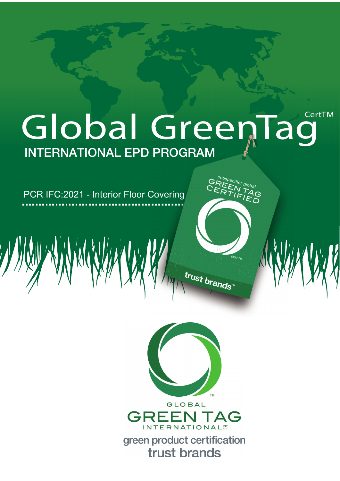# Global GreenTag **INTERNATIONAL EPD PROGRAM**

PCR IFC:2021 - Interior Floor Covering



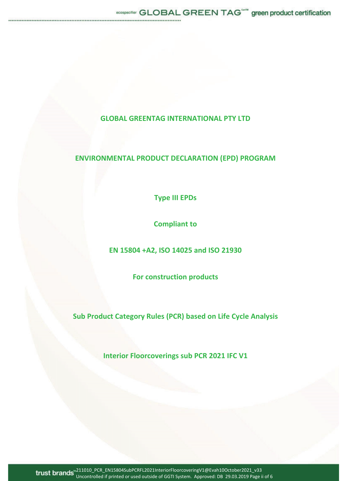## **GLOBAL GREENTAG INTERNATIONAL PTY LTD**

# **ENVIRONMENTAL PRODUCT DECLARATION (EPD) PROGRAM**

**Type III EPDs**

**Compliant to**

**EN 15804 +A2, ISO 14025 and ISO 21930**

**For construction products**

**Sub Product Category Rules (PCR) based on Life Cycle Analysis**

**Interior Floorcoverings sub PCR 2021 IFC V1**

211010\_PCR\_EN15804SubPCRFL2021InteriorFloorcoveringV1@Evah10October2021\_v33 Uncontrolled if printed or used outside of GGTI System. Approved: DB 29.03.2019 Page ii of 6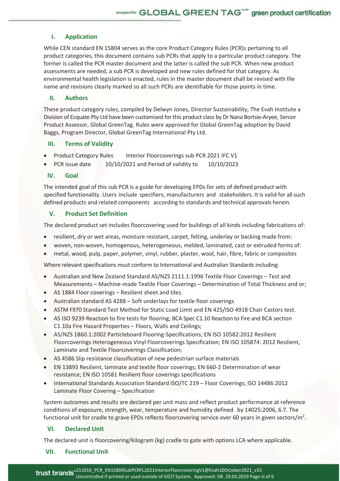## **I. Application**

While CEN standard EN 15804 serves as the core Product Category Rules (PCR)s pertaining to all product categories, this document contains sub PCRs that apply to a particular product category. The former is called the PCR master document and the latter is called the sub PCR. When new product assessments are needed, a sub PCR is developed and new rules defined for that category. As environmental health legislation is enacted, rules in the master document shall be revised with file name and revisions clearly marked so all such PCRs are identifiable for those points in time.

### **II. Authors**

These product category rules, compiled by Delwyn Jones, Director Sustainability, The Evah Institute a Division of Ecquate Pty Ltd have been customised for this product class by Dr Nana Bortsie-Aryee, Senior Product Assessor, Global GreenTag. Rules were approved for Global GreenTag adoption by David Baggs, Program Director, Global GreenTag International Pty Ltd.

#### **III. Terms of Validity**

- Product Category Rules Interior Floorcoverings sub PCR 2021 IFC V1
- PCR issue date  $10/10/2021$  and Period of validity to  $10/10/2023$

### **IV. Goal**

The intended goal of this sub PCR is a guide for developing EPDs for sets of defined product with specified functionality. Users include specifiers, manufacturers and stakeholders. It is valid for all such defined products and related components according to standards and technical approvals herein.

#### **V. Product Set Definition**

The declared product set includes floorcovering used for buildings of all kinds including fabrications of:

- resilient, dry or wet areas, moisture resistant, carpet, felting, underlay or backing made from:
- woven, non-woven, homogenous, heterogeneous, melded, laminated, cast or extruded forms of:
- metal, wood, pulp, paper, polymer, vinyl, rubber, plaster, wool, hair, fibre, fabric or composites

Where relevant specifications must conform to International and Australian Standards including:

- x Australian and New Zealand Standard AS/NZS 2111.1:1996 Textile Floor Coverings Test and Measurements – Machine-made Textile Floor Coverings – Determination of Total Thickness and or;
- AS 1884 Floor coverings Resilient sheet and tiles.
- Australian standard AS 4288 Soft underlays for textile floor coverings
- x ASTM F970 Standard Test Method for Static Load Limit and EN 425/ISO 4918 Chair Castors test.
- AS ISO 9239 Reaction to fire tests for flooring; BCA Spec C1.10 Reaction to Fire and BCA section C1.10a Fire Hazard Properties – Floors, Walls and Ceilings;
- AS/NZS 1860.1:2002 Particleboard Flooring-Specifications; EN ISO 10582:2012 Resilient Floorcoverings Heterogeneous Vinyl Floorcoverings Specification; EN ISO 105874: 2012 Resilient, Laminate and Textile Floorcoverings Classification;
- AS 4586 Slip resistance classification of new pedestrian surface materials
- EN 13893 Resilient, laminate and textile floor coverings; EN 660-2 Determination of wear resistance; EN ISO 10581 Resilient floor coverings specifications
- x International Standards Association Standard ISO/TC 219 Floor Coverings; ISO 14486:2012 Laminate Floor Covering – Specification

System outcomes and results are declared per unit mass and reflect product performance at reference conditions of exposure, strength, wear, temperature and humidity defined by 14025:2006, 6.7. The functional unit for cradle to grave EPDs reflects floorcovering service over 60 years in given sectors/m<sup>2</sup>.

### **VI. Declared Unit**

The declared unit is floorcovering/kilogram (kg) cradle to gate with options LCA where applicable.

#### **VII. Functional Unit**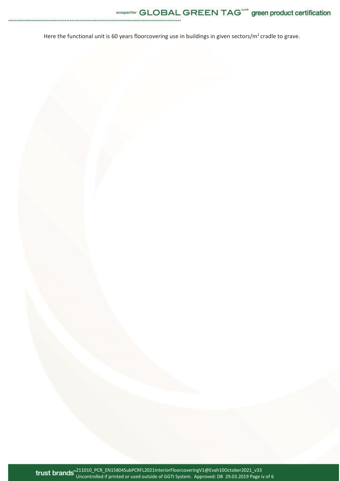Here the functional unit is 60 years floorcovering use in buildings in given sectors/m<sup>2</sup> cradle to grave.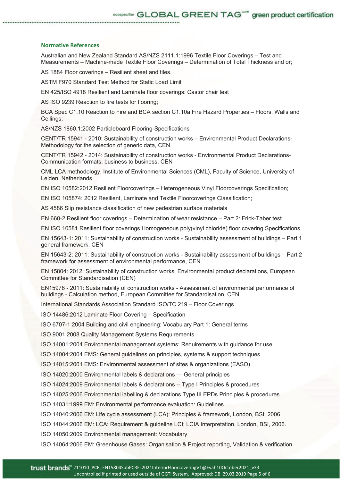#### **Normative References**

Australian and New Zealand Standard AS/NZS 2111.1:1996 Textile Floor Coverings – Test and Measurements – Machine-made Textile Floor Coverings – Determination of Total Thickness and or;

AS 1884 Floor coverings – Resilient sheet and tiles.

ASTM F970 Standard Test Method for Static Load Limit

EN 425/ISO 4918 Resilient and Laminate floor coverings: Castor chair test

AS ISO 9239 Reaction to fire tests for flooring;

BCA Spec C1.10 Reaction to Fire and BCA section C1.10a Fire Hazard Properties – Floors, Walls and Ceilings;

AS/NZS 1860.1:2002 Particleboard Flooring-Specifications

CENT/TR 15941 - 2010: Sustainability of construction works – Environmental Product Declarations-Methodology for the selection of generic data, CEN

CENT/TR 15942 - 2014: Sustainability of construction works - Environmental Product Declarations-Communication formats: business to business, CEN

CML LCA methodology, Institute of Environmental Sciences (CML), Faculty of Science, University of Leiden, Netherlands

EN ISO 10582:2012 Resilient Floorcoverings – Heterogeneous Vinyl Floorcoverings Specification;

EN ISO 105874: 2012 Resilient, Laminate and Textile Floorcoverings Classification;

AS 4586 Slip resistance classification of new pedestrian surface materials

EN 660-2 Resilient floor coverings – Determination of wear resistance – Part 2: Frick-Taber test.

EN ISO 10581 Resilient floor coverings Homogeneous poly(vinyl chloride) floor covering Specifications

EN 15643-1: 2011: Sustainability of construction works - Sustainability assessment of buildings – Part 1 general framework, CEN

EN 15643-2: 2011: Sustainability of construction works - Sustainability assessment of buildings – Part 2 framework for assessment of environmental performance, CEN

EN 15804: 2012: Sustainability of construction works, Environmental product declarations, European Committee for Standardisation (CEN)

EN15978 - 2011: Sustainability of construction works - Assessment of environmental performance of buildings - Calculation method, European Committee for Standardisation, CEN

International Standards Association Standard ISO/TC 219 – Floor Coverings

ISO 14486:2012 Laminate Floor Covering – Specification

ISO 6707-1:2004 Building and civil engineering: Vocabulary Part 1: General terms

ISO 9001:2008 Quality Management Systems Requirements

ISO 14001:2004 Environmental management systems: Requirements with guidance for use

ISO 14004:2004 EMS: General guidelines on principles, systems & support techniques

ISO 14015:2001 EMS: Environmental assessment of sites & organizations (EASO)

ISO 14020:2000 Environmental labels & declarations — General principles

ISO 14024:2009 Environmental labels & declarations -- Type I Principles & procedures

ISO 14025:2006 Environmental labelling & declarations Type III EPDs Principles & procedures

ISO 14031:1999 EM: Environmental performance evaluation: Guidelines

ISO 14040:2006 EM: Life cycle assessment (LCA): Principles & framework, London, BSI, 2006.

ISO 14044:2006 EM: LCA: Requirement & guideline LCI; LCIA Interpretation, London, BSI, 2006.

ISO 14050:2009 Environmental management: Vocabulary

ISO 14064:2006 EM: Greenhouse Gases: Organisation & Project reporting, Validation & verification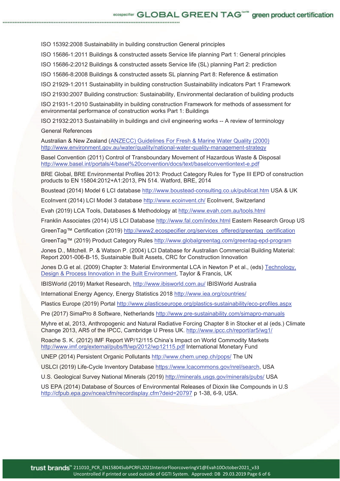ISO 15392:2008 Sustainability in building construction General principles

ISO 15686-1:2011 Buildings & constructed assets Service life planning Part 1: General principles

ISO 15686-2:2012 Buildings & constructed assets Service life (SL) planning Part 2: prediction

ISO 15686-8:2008 Buildings & constructed assets SL planning Part 8: Reference & estimation

ISO 21929-1:2011 Sustainability in building construction Sustainability indicators Part 1 Framework

ISO 21930:2007 Building construction: Sustainability, Environmental declaration of building products

ISO 21931-1:2010 Sustainability in building construction Framework for methods of assessment for environmental performance of construction works Part 1: Buildings

ISO 21932:2013 Sustainability in buildings and civil engineering works -- A review of terminology

#### General References

Australian & New Zealand (ANZECC) Guidelines For Fresh & Marine Water Quality (2000) http://www.environment.gov.au/water/quality/national-water-quality-management-strategy

Basel Convention (2011) Control of Transboundary Movement of Hazardous Waste & Disposal http://www.basel.int/portals/4/basel%20convention/docs/text/baselconventiontext-e.pdf

BRE Global, BRE Environmental Profiles 2013: Product Category Rules for Type III EPD of construction products to EN 15804:2012+A1:2013, PN 514. Watford, BRE, 2014

Boustead (2014) Model 6 LCI database http://www.boustead-consulting.co.uk/publicat.htm USA & UK

EcoInvent (2014) LCI Model 3 database http://www.ecoinvent.ch/ EcoInvent, Switzerland

Evah (2019) LCA Tools, Databases & Methodology at http://www.evah.com.au/tools.html

Franklin Associates (2014) US LCI Database http://www.fal.com/index.html Eastern Research Group US

GreenTag™ Certification (2019) http://www2.ecospecifier.org/services\_offered/greentag\_certification

GreenTag™ (2019) Product Category Rules http://www.globalgreentag.com/greentag-epd-program

Jones D., Mitchell. P. & Watson P. (2004) LCI Database for Australian Commercial Building Material: Report 2001-006-B-15, Sustainable Built Assets, CRC for Construction Innovation

Jones D.G et al. (2009) Chapter 3: Material Environmental LCA in Newton P et al., (eds) Technology, Design & Process Innovation in the Built Environment, Taylor & Francis, UK

IBISWorld (2019) Market Research, http://www.ibisworld.com.au/ IBISWorld Australia

International Energy Agency, Energy Statistics 2018 http://www.iea.org/countries/

Plastics Europe (2019) Portal http://www.plasticseurope.org/plastics-sustainability/eco-profiles.aspx

Pre (2017) SimaPro 8 Software, Netherlands http://www.pre-sustainability.com/simapro-manuals

Myhre et al, 2013, Anthropogenic and Natural Radiative Forcing Chapter 8 in Stocker et al (eds.) Climate Change 2013, AR5 of the IPCC, Cambridge U Press UK. http://www.ipcc.ch/report/ar5/wg1/

Roache S. K. (2012) IMF Report WP/12/115 China's Impact on World Commodity Markets http://www.imf.org/external/pubs/ft/wp/2012/wp12115.pdf International Monetary Fund

UNEP (2014) Persistent Organic Pollutants http://www.chem.unep.ch/pops/ The UN

USLCI (2019) Life-Cycle Inventory Database https://www.lcacommons.gov/nrel/search, USA

U.S. Geological Survey National Minerals (2019) http://minerals.usgs.gov/minerals/pubs/ USA

US EPA (2014) Database of Sources of Environmental Releases of Dioxin like Compounds in U.S http://cfpub.epa.gov/ncea/cfm/recordisplay.cfm?deid=20797 p 1-38, 6-9, USA.